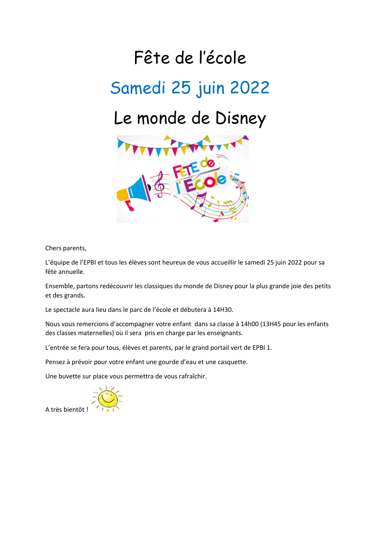## Fête de l'école Samedi 25 juin 2022 Le monde de Disney



Chers parents,

L'équipe de l'EPBI et tous les élèves sont heureux de vous accueillir le samedi 25 juin 2022 pour sa fête annuelle.

Ensemble, partons redécouvrir les classiques du monde de Disney pour la plus grande joie des petits et des grands.

Le spectacle aura lieu dans le parc de l'école et débutera à 14H30.

Nous vous remercions d'accompagner votre enfant dans sa classe à 14h00 (13H45 pour les enfants des classes maternelles) où il sera pris en charge par les enseignants.

L'entrée se fera pour tous, élèves et parents, par le grand portail vert de EPBI 1.

Pensez à prévoir pour votre enfant une gourde d'eau et une casquette.

Une buvette sur place vous permettra de vous rafraîchir.



A très bientôt !